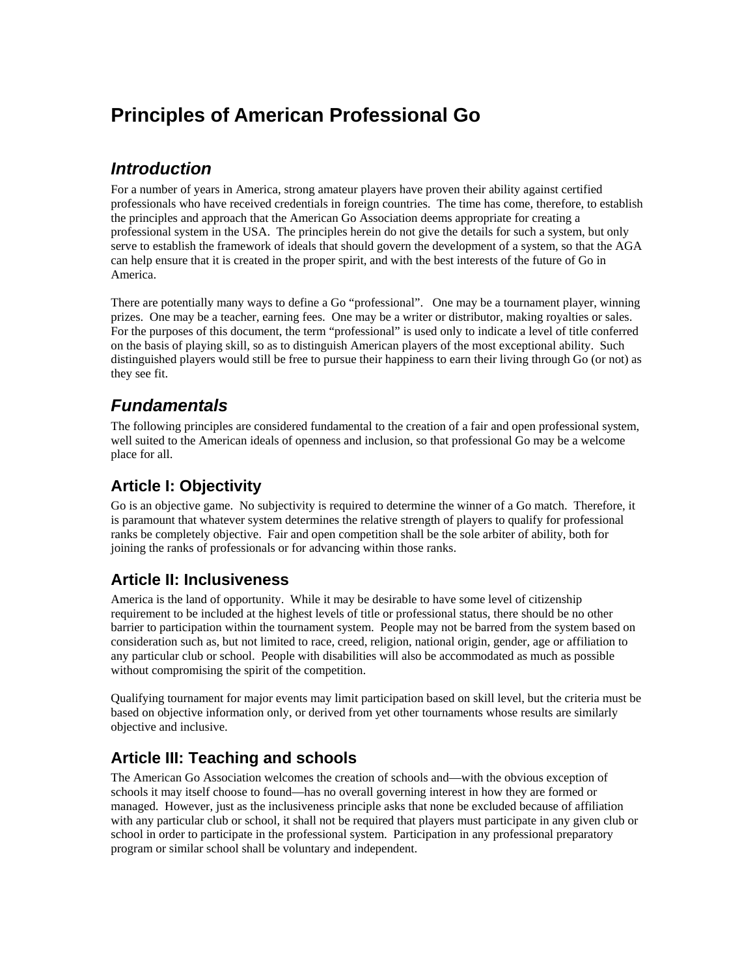# **Principles of American Professional Go**

## *Introduction*

For a number of years in America, strong amateur players have proven their ability against certified professionals who have received credentials in foreign countries. The time has come, therefore, to establish the principles and approach that the American Go Association deems appropriate for creating a professional system in the USA. The principles herein do not give the details for such a system, but only serve to establish the framework of ideals that should govern the development of a system, so that the AGA can help ensure that it is created in the proper spirit, and with the best interests of the future of Go in America.

There are potentially many ways to define a Go "professional". One may be a tournament player, winning prizes. One may be a teacher, earning fees. One may be a writer or distributor, making royalties or sales. For the purposes of this document, the term "professional" is used only to indicate a level of title conferred on the basis of playing skill, so as to distinguish American players of the most exceptional ability. Such distinguished players would still be free to pursue their happiness to earn their living through Go (or not) as they see fit.

## *Fundamentals*

The following principles are considered fundamental to the creation of a fair and open professional system, well suited to the American ideals of openness and inclusion, so that professional Go may be a welcome place for all.

#### **Article I: Objectivity**

Go is an objective game. No subjectivity is required to determine the winner of a Go match. Therefore, it is paramount that whatever system determines the relative strength of players to qualify for professional ranks be completely objective. Fair and open competition shall be the sole arbiter of ability, both for joining the ranks of professionals or for advancing within those ranks.

#### **Article II: Inclusiveness**

America is the land of opportunity. While it may be desirable to have some level of citizenship requirement to be included at the highest levels of title or professional status, there should be no other barrier to participation within the tournament system. People may not be barred from the system based on consideration such as, but not limited to race, creed, religion, national origin, gender, age or affiliation to any particular club or school. People with disabilities will also be accommodated as much as possible without compromising the spirit of the competition.

Qualifying tournament for major events may limit participation based on skill level, but the criteria must be based on objective information only, or derived from yet other tournaments whose results are similarly objective and inclusive.

### **Article III: Teaching and schools**

The American Go Association welcomes the creation of schools and—with the obvious exception of schools it may itself choose to found—has no overall governing interest in how they are formed or managed. However, just as the inclusiveness principle asks that none be excluded because of affiliation with any particular club or school, it shall not be required that players must participate in any given club or school in order to participate in the professional system. Participation in any professional preparatory program or similar school shall be voluntary and independent.